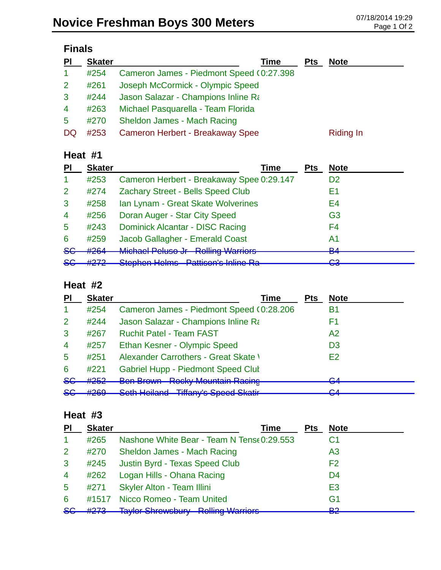| PI                   | <b>Skater</b> | Time                                      | <b>Pts</b> | <b>Note</b>      |
|----------------------|---------------|-------------------------------------------|------------|------------------|
| $\blacktriangleleft$ | #254          | Cameron James - Piedmont Speed (0:27.398) |            |                  |
| $\overline{2}$       | #261          | Joseph McCormick - Olympic Speed          |            |                  |
| 3                    | #244          | Jason Salazar - Champions Inline Ra       |            |                  |
| $\overline{4}$       | #263          | Michael Pasquarella - Team Florida        |            |                  |
| 5                    | #270          | Sheldon James - Mach Racing               |            |                  |
| <b>DQ</b>            | #253          | Cameron Herbert - Breakaway Spee          |            | <b>Riding In</b> |

### **Heat #1**

| PI                   | <b>Skater</b>             | Time                                                                              | Pts | <b>Note</b>    |
|----------------------|---------------------------|-----------------------------------------------------------------------------------|-----|----------------|
| $\blacktriangleleft$ | #253                      | Cameron Herbert - Breakaway Spee 0:29.147                                         |     | D <sub>2</sub> |
| 2                    | #274                      | Zachary Street - Bells Speed Club                                                 |     | E1             |
| 3                    | #258                      | Ian Lynam - Great Skate Wolverines                                                |     | E4             |
| $\overline{4}$       | #256                      | Doran Auger - Star City Speed                                                     |     | G <sub>3</sub> |
| 5                    | #243                      | <b>Dominick Alcantar - DISC Racing</b>                                            |     | F4             |
| 6                    | #259                      | Jacob Gallagher - Emerald Coast                                                   |     | A1             |
| <del>SG</del>        | #264                      | Michael Deluce Ir Delling Warriore<br><u>noming warnoro</u><br>וט טטשוט רוסווויוד |     | D A<br>▱       |
| 86                   | <u> 4070 </u><br>11 Z T Z | Ctanhan Halma Dattican's Inline Da<br><del>טוווטו דוטוווט</del>                   |     | റാ<br>▽○       |

### **Heat #2**

| PI             | <b>Skater</b> | Time                                                                         | <b>Pts</b> | <b>Note</b>        |
|----------------|---------------|------------------------------------------------------------------------------|------------|--------------------|
|                | #254          | Cameron James - Piedmont Speed (0:28.206)                                    |            | Β1                 |
| 2              | #244          | Jason Salazar - Champions Inline Ra                                          |            | F1                 |
| 3              | #267          | <b>Ruchit Patel - Team FAST</b>                                              |            | A <sub>2</sub>     |
| $\overline{4}$ | #257          | <b>Ethan Kesner - Olympic Speed</b>                                          |            | D <sub>3</sub>     |
| 5              | #251          | Alexander Carrothers - Great Skate \                                         |            | E2                 |
| 6              | #221          | <b>Gabriel Hupp - Piedmont Speed Clut</b>                                    |            |                    |
| 86             | #252          | <b>Ben Brown - Rocky Mountain Racing</b>                                     |            | $\mathbf{C}$<br>ॼॸ |
| <del>SC</del>  | <u> 4000 </u> | <b>Cath Hailand Tiffany's Coand Cleatir</b><br><del>rmany o Opoca Okam</del> |            | ⌒∧<br>ॼॸ           |

### **Heat #3**

| PI                   | <b>Skater</b> | Time                                        | <b>Pts</b> | <b>Note</b>    |
|----------------------|---------------|---------------------------------------------|------------|----------------|
| $\blacktriangleleft$ | #265          | Nashone White Bear - Team N Tense 0:29.553  |            | C1             |
| $\overline{2}$       | #270          | Sheldon James - Mach Racing                 |            | A <sub>3</sub> |
| $\mathbf{3}$         | #245          | Justin Byrd - Texas Speed Club              |            | F <sub>2</sub> |
| $\overline{4}$       | #262          | Logan Hills - Ohana Racing                  |            | D <sub>4</sub> |
| $5\phantom{.0}$      | #271          | <b>Skyler Alton - Team Illini</b>           |            | E <sub>3</sub> |
| 6                    | #1517         | Nicco Romeo - Team United                   |            | G1             |
| <b>SG</b>            | #273-         | <b>Taylor Shrewsbury - Rolling Warriors</b> |            | ∩ים<br>- 2     |